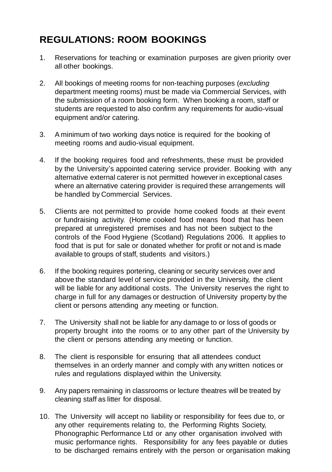## **REGULATIONS: ROOM BOOKINGS**

- 1. Reservations for teaching or examination purposes are given priority over all other bookings.
- 2. All bookings of meeting rooms for non-teaching purposes (*excluding*  department meeting rooms) must be made via Commercial Services, with the submission of a room booking form. When booking a room, staff or students are requested to also confirm any requirements for audio-visual equipment and/or catering.
- 3. A minimum of two working days notice is required for the booking of meeting rooms and audio-visual equipment.
- 4. If the booking requires food and refreshments, these must be provided by the University's appointed catering service provider. Booking with any alternative external caterer is not permitted however in exceptional cases where an alternative catering provider is required these arrangements will be handled by Commercial Services.
- 5. Clients are not permitted to provide home cooked foods at their event or fundraising activity. (Home cooked food means food that has been prepared at unregistered premises and has not been subject to the controls of the Food Hygiene (Scotland) Regulations 2006. It applies to food that is put for sale or donated whether for profit or not and is made available to groups of staff, students and visitors.)
- 6. If the booking requires portering, cleaning or security services over and above the standard level of service provided in the University, the client will be liable for any additional costs. The University reserves the right to charge in full for any damages or destruction of University property by the client or persons attending any meeting or function.
- 7. The University shall not be liable for any damage to or loss of goods or property brought into the rooms or to any other part of the University by the client or persons attending any meeting or function.
- 8. The client is responsible for ensuring that all attendees conduct themselves in an orderly manner and comply with any written notices or rules and regulations displayed within the University.
- 9. Any papers remaining in classrooms or lecture theatres will be treated by cleaning staff as litter for disposal.
- 10. The University will accept no liability or responsibility for fees due to, or any other requirements relating to, the Performing Rights Society, Phonographic Performance Ltd or any other organisation involved with music performance rights. Responsibility for any fees payable or duties to be discharged remains entirely with the person or organisation making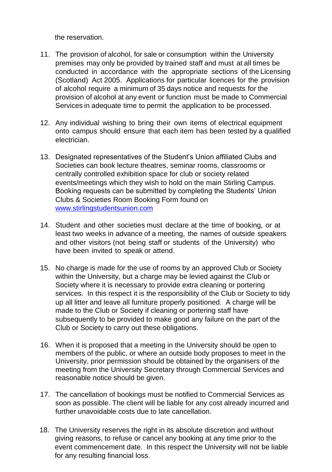the reservation.

- 11. The provision of alcohol, for sale or consumption within the University premises may only be provided by trained staff and must at all times be conducted in accordance with the appropriate sections of the Licensing (Scotland) Act 2005. Applications for particular licences for the provision of alcohol require a minimum of 35 days notice and requests for the provision of alcohol at any event or function must be made to Commercial Services in adequate time to permit the application to be processed.
- 12. Any individual wishing to bring their own items of electrical equipment onto campus should ensure that each item has been tested by a qualified electrician.
- 13. Designated representatives of the Student's Union affiliated Clubs and Societies can book lecture theatres, seminar rooms, classrooms or centrally controlled exhibition space for club or society related events/meetings which they wish to hold on the main Stirling Campus. Booking requests can be submitted by completing the Students' Union Clubs & Societies Room Booking Form found on [www.stirlingstudentsunion.com](http://www.stirlingstudentsunion.com/)
- 14. Student and other societies must declare at the time of booking, or at least two weeks in advance of a meeting, the names of outside speakers and other visitors (not being staff or students of the University) who have been invited to speak or attend.
- 15. No charge is made for the use of rooms by an approved Club or Society within the University, but a charge may be levied against the Club or Society where it is necessary to provide extra cleaning or portering services. In this respect it is the responsibility of the Club or Society to tidy up all litter and leave all furniture properly positioned. A charge will be made to the Club or Society if cleaning or portering staff have subsequently to be provided to make good any failure on the part of the Club or Society to carry out these obligations.
- 16. When it is proposed that a meeting in the University should be open to members of the public, or where an outside body proposes to meet in the University, prior permission should be obtained by the organisers of the meeting from the University Secretary through Commercial Services and reasonable notice should be given.
- 17. The cancellation of bookings must be notified to Commercial Services as soon as possible. The client will be liable for any cost already incurred and further unavoidable costs due to late cancellation.
- 18. The University reserves the right in its absolute discretion and without giving reasons, to refuse or cancel any booking at any time prior to the event commencement date. In this respect the University will not be liable for any resulting financial loss.